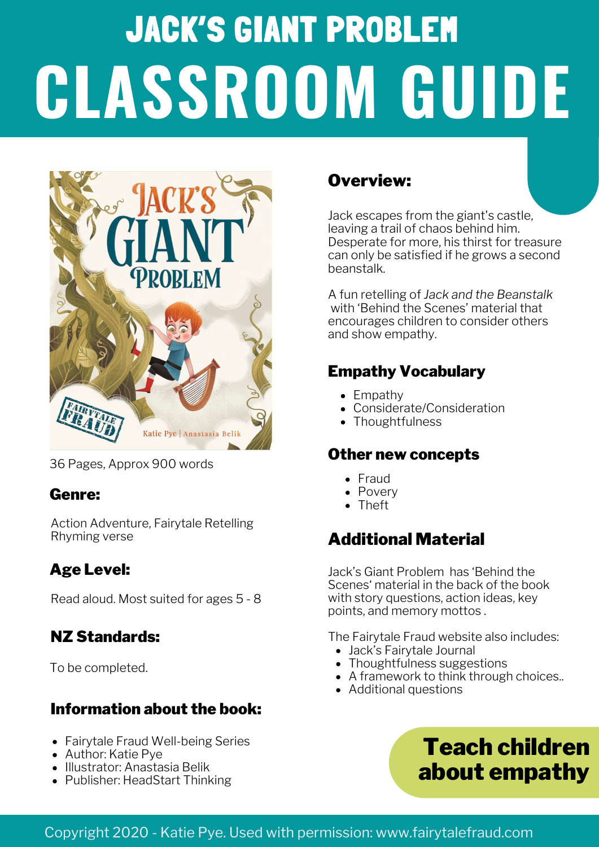# JACK'S GIANT PROBLEM **CLASSROOM GUIDE**



36 Pages, Approx 900 words

#### Genre:

Action Adventure, Fairytale Retelling Rhyming verse

#### Age Level:

Read aloud. Most suited for ages 5 - 8

#### NZ Standards:

To be completed.

#### Information about the book:

- Fairytale Fraud Well-being Series
- Author: Katie Pye
- Illustrator: Anastasia Belik
- Publisher: HeadStart Thinking

#### Overview:

Jack escapes from the giant's castle, leaving a trail of chaos behind him. Desperate for more, his thirst for treasure can only be satisfied if he grows a second beanstalk.

A fun retelling of *Jack and the Beanstalk* with 'Behind the Scenes' material that encourages children to consider others and show empathy.

#### Empathy Vocabulary

- Empathy
- Considerate/Consideration
- Thoughtfulness

#### Other new concepts

- Fraud
- Povery
- Theft

#### Additional Material

Jack's Giant Problem has 'Behind the Scenes' material in the back of the book with story questions, action ideas, key points, and memory mottos .

The Fairytale Fraud website also includes:

- Jack's Fairytale Journal
- Thoughtfulness suggestions
- A framework to think through choices..
- Additional questions



#### Copyright 2020 - Katie Pye. Used with permission: www.fairytalefraud.com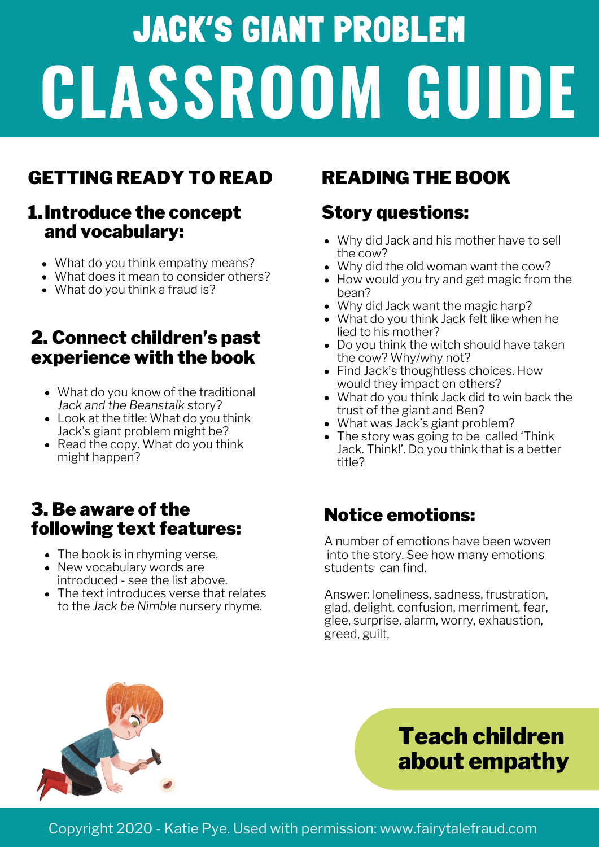# JACK'S GIANT PROBLEM **CLASSROOM GUIDE**

# GETTING READY TO READ READING THE BOOK

#### Introduce the concept 1. and vocabulary:

- What do you think empathy means?
- What does it mean to consider others?
- What do you think a fraud is?

#### 2. Connect children's past experience with the book

- What do you know of the traditional *Jack and the Beanstalk* story?
- Look at the title: What do you think Jack's giant problem might be?
- Read the copy. What do you think might happen?

#### 3. Be aware of the following text features:

- The book is in rhyming verse.
- New vocabulary words are introduced - see the list above.
- The text introduces verse that relates to the *Jack be Nimble* nursery rhyme.

### Story questions:

- Why did Jack and his mother have to sell the cow?
- Why did the old woman want the cow?
- How would *you* try and get magic from the bean?
- Why did Jack want the magic harp?
- What do you think Jack felt like when he lied to his mother?
- Do you think the witch should have taken the cow? Why/why not?
- Find Jack's thoughtless choices. How would they impact on others?
- What do you think Jack did to win back the trust of the giant and Ben?
- What was Jack's giant problem?
- The story was going to be called 'Think Jack. Think!'. Do you think that is a better title?

### Notice emotions:

A number of emotions have been woven into the story. See how many emotions students can find.

Answer: loneliness, sadness, frustration, glad, delight, confusion, merriment, fear, glee, surprise, alarm, worry, exhaustion, greed, guilt,



# Teach children about empathy

Copyright 2020 - Katie Pye. Used with permission: www.fairytalefraud.com